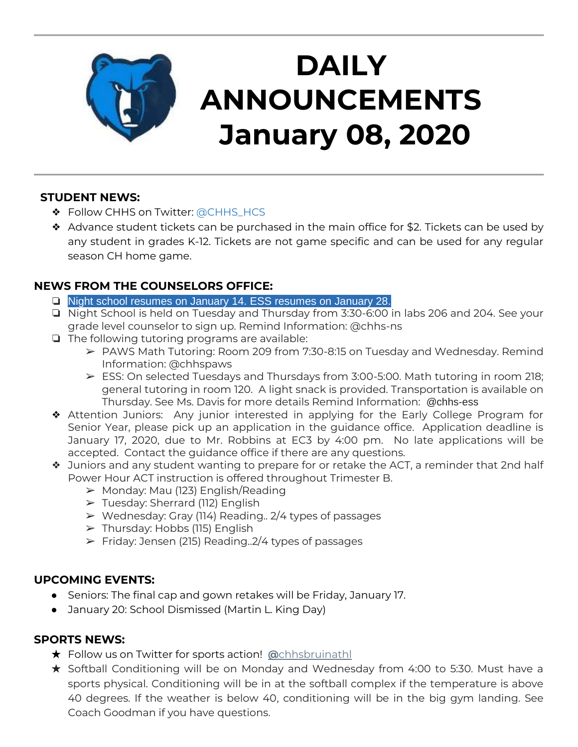

# **DAILY ANNOUNCEMENTS January 08, 2020**

#### **STUDENT NEWS:**

- ◆ Follow CHHS on Twitter: [@CHHS\\_HCS](https://twitter.com/CHHS_HCS)
- ❖ Advance student tickets can be purchased in the main office for \$2. Tickets can be used by any student in grades K-12. Tickets are not game specific and can be used for any regular season CH home game.

## **NEWS FROM THE COUNSELORS OFFICE:**

- ❏ Night school resumes on January 14. ESS resumes on January 28.
- ❏ Night School is held on Tuesday and Thursday from 3:30-6:00 in labs 206 and 204. See your grade level counselor to sign up. Remind Information: @chhs-ns
- ❏ The following tutoring programs are available:
	- ➢ PAWS Math Tutoring: Room 209 from 7:30-8:15 on Tuesday and Wednesday. Remind Information: @chhspaws
	- $\triangleright$  ESS: On selected Tuesdays and Thursdays from 3:00-5:00. Math tutoring in room 218; general tutoring in room 120. A light snack is provided. Transportation is available on Thursday. See Ms. Davis for more details Remind Information: @chhs-ess
- ❖ Attention Juniors: Any junior interested in applying for the Early College Program for Senior Year, please pick up an application in the guidance office. Application deadline is January 17, 2020, due to Mr. Robbins at EC3 by 4:00 pm. No late applications will be accepted. Contact the guidance office if there are any questions.
- ❖ Juniors and any student wanting to prepare for or retake the ACT, a reminder that 2nd half Power Hour ACT instruction is offered throughout Trimester B.
	- $\triangleright$  Monday: Mau (123) English/Reading
	- ➢ Tuesday: Sherrard (112) English
	- $\triangleright$  Wednesday: Gray (114) Reading.. 2/4 types of passages
	- $\triangleright$  Thursday: Hobbs (115) English
	- $\triangleright$  Friday: Jensen (215) Reading.  $2/4$  types of passages

### **UPCOMING EVENTS:**

- Seniors: The final cap and gown retakes will be Friday, January 17.
- January 20: School Dismissed (Martin L. King Day)

#### **SPORTS NEWS:**

- ★ Follow us on Twitter for sports action! **[@](https://twitter.com/chhsbruinathl)**[chhsbruinathl](https://twitter.com/chhsbruinathl)
- ★ Softball Conditioning will be on Monday and Wednesday from 4:00 to 5:30. Must have a sports physical. Conditioning will be in at the softball complex if the temperature is above 40 degrees. If the weather is below 40, conditioning will be in the big gym landing. See Coach Goodman if you have questions.